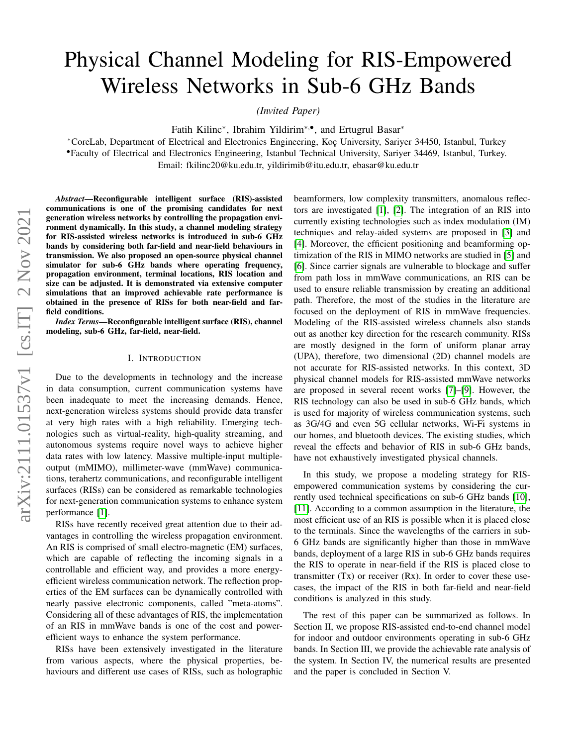# Physical Channel Modeling for RIS-Empowered Wireless Networks in Sub-6 GHz Bands

*(Invited Paper)*

Fatih Kilinc<sup>\*</sup>, Ibrahim Yildirim<sup>\*,•</sup>, and Ertugrul Basar<sup>\*</sup>

<sup>∗</sup>CoreLab, Department of Electrical and Electronics Engineering, Koc¸ University, Sariyer 34450, Istanbul, Turkey

•Faculty of Electrical and Electronics Engineering, Istanbul Technical University, Sariyer 34469, Istanbul, Turkey.

Email: fkilinc20@ku.edu.tr, yildirimib@itu.edu.tr, ebasar@ku.edu.tr

*Abstract*—Reconfigurable intelligent surface (RIS)-assisted communications is one of the promising candidates for next generation wireless networks by controlling the propagation environment dynamically. In this study, a channel modeling strategy for RIS-assisted wireless networks is introduced in sub-6 GHz bands by considering both far-field and near-field behaviours in transmission. We also proposed an open-source physical channel simulator for sub-6 GHz bands where operating frequency, propagation environment, terminal locations, RIS location and size can be adjusted. It is demonstrated via extensive computer simulations that an improved achievable rate performance is obtained in the presence of RISs for both near-field and farfield conditions.

*Index Terms*—Reconfigurable intelligent surface (RIS), channel modeling, sub-6 GHz, far-field, near-field.

#### I. INTRODUCTION

Due to the developments in technology and the increase in data consumption, current communication systems have been inadequate to meet the increasing demands. Hence, next-generation wireless systems should provide data transfer at very high rates with a high reliability. Emerging technologies such as virtual-reality, high-quality streaming, and autonomous systems require novel ways to achieve higher data rates with low latency. Massive multiple-input multipleoutput (mMIMO), millimeter-wave (mmWave) communications, terahertz communications, and reconfigurable intelligent surfaces (RISs) can be considered as remarkable technologies for next-generation communication systems to enhance system performance [\[1\]](#page-4-0).

RISs have recently received great attention due to their advantages in controlling the wireless propagation environment. An RIS is comprised of small electro-magnetic (EM) surfaces, which are capable of reflecting the incoming signals in a controllable and efficient way, and provides a more energyefficient wireless communication network. The reflection properties of the EM surfaces can be dynamically controlled with nearly passive electronic components, called "meta-atoms". Considering all of these advantages of RIS, the implementation of an RIS in mmWave bands is one of the cost and powerefficient ways to enhance the system performance.

RISs have been extensively investigated in the literature from various aspects, where the physical properties, behaviours and different use cases of RISs, such as holographic beamformers, low complexity transmitters, anomalous reflectors are investigated [\[1\]](#page-4-0), [\[2\]](#page-4-1). The integration of an RIS into currently existing technologies such as index modulation (IM) techniques and relay-aided systems are proposed in [\[3\]](#page-4-2) and [\[4\]](#page-4-3). Moreover, the efficient positioning and beamforming optimization of the RIS in MIMO networks are studied in [\[5\]](#page-4-4) and [\[6\]](#page-4-5). Since carrier signals are vulnerable to blockage and suffer from path loss in mmWave communications, an RIS can be used to ensure reliable transmission by creating an additional path. Therefore, the most of the studies in the literature are focused on the deployment of RIS in mmWave frequencies. Modeling of the RIS-assisted wireless channels also stands out as another key direction for the research community. RISs are mostly designed in the form of uniform planar array (UPA), therefore, two dimensional (2D) channel models are not accurate for RIS-assisted networks. In this context, 3D physical channel models for RIS-assisted mmWave networks are proposed in several recent works [\[7\]](#page-4-6)–[\[9\]](#page-4-7). However, the RIS technology can also be used in sub-6 GHz bands, which is used for majority of wireless communication systems, such as 3G/4G and even 5G cellular networks, Wi-Fi systems in our homes, and bluetooth devices. The existing studies, which reveal the effects and behavior of RIS in sub-6 GHz bands, have not exhaustively investigated physical channels.

In this study, we propose a modeling strategy for RISempowered communication systems by considering the currently used technical specifications on sub-6 GHz bands [\[10\]](#page-4-8), [\[11\]](#page-4-9). According to a common assumption in the literature, the most efficient use of an RIS is possible when it is placed close to the terminals. Since the wavelengths of the carriers in sub-6 GHz bands are significantly higher than those in mmWave bands, deployment of a large RIS in sub-6 GHz bands requires the RIS to operate in near-field if the RIS is placed close to transmitter  $(Tx)$  or receiver  $(Rx)$ . In order to cover these usecases, the impact of the RIS in both far-field and near-field conditions is analyzed in this study.

The rest of this paper can be summarized as follows. In Section II, we propose RIS-assisted end-to-end channel model for indoor and outdoor environments operating in sub-6 GHz bands. In Section III, we provide the achievable rate analysis of the system. In Section IV, the numerical results are presented and the paper is concluded in Section V.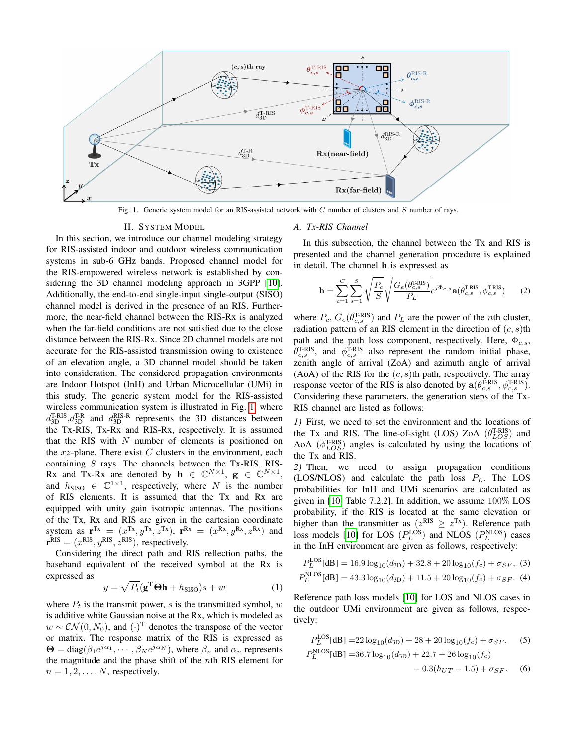

<span id="page-1-0"></span>Fig. 1. Generic system model for an RIS-assisted network with C number of clusters and S number of rays.

#### II. SYSTEM MODEL

In this section, we introduce our channel modeling strategy for RIS-assisted indoor and outdoor wireless communication systems in sub-6 GHz bands. Proposed channel model for the RIS-empowered wireless network is established by considering the 3D channel modeling approach in 3GPP [\[10\]](#page-4-8). Additionally, the end-to-end single-input single-output (SISO) channel model is derived in the presence of an RIS. Furthermore, the near-field channel between the RIS-Rx is analyzed when the far-field conditions are not satisfied due to the close distance between the RIS-Rx. Since 2D channel models are not accurate for the RIS-assisted transmission owing to existence of an elevation angle, a 3D channel model should be taken into consideration. The considered propagation environments are Indoor Hotspot (InH) and Urban Microcellular (UMi) in this study. The generic system model for the RIS-assisted wireless communication system is illustrated in Fig. [1,](#page-1-0) where  $d_{3D}^{\text{T-RIS}}, d_{3D}^{\text{T-R}}$  and  $d_{3D}^{\text{RIS-R}}$  represents the 3D distances between the Tx-RIS, Tx-Rx and RIS-Rx, respectively. It is assumed that the RIS with  $N$  number of elements is positioned on the  $xz$ -plane. There exist C clusters in the environment, each containing  $S$  rays. The channels between the Tx-RIS, RIS-Rx and Tx-Rx are denoted by  $\mathbf{h} \in \mathbb{C}^{N \times 1}$ ,  $\mathbf{g} \in \mathbb{C}^{N \times 1}$ , and  $h_{\text{SISO}} \in \mathbb{C}^{1 \times 1}$ , respectively, where N is the number of RIS elements. It is assumed that the Tx and Rx are equipped with unity gain isotropic antennas. The positions of the Tx, Rx and RIS are given in the cartesian coordinate system as  $\mathbf{r}^{\mathrm{Tx}} = (x^{\mathrm{Tx}}, y^{\mathrm{Tx}}, z^{\mathrm{Tx}}), \ \mathbf{r}^{\mathrm{Rx}} = (x^{\mathrm{Rx}}, y^{\mathrm{Rx}}, z^{\mathrm{Rx}})$  and  ${\bf r}^{\rm RIS} = (x^{\rm RIS}, y^{\rm RIS}, z^{\rm RIS})$ , respectively.

Considering the direct path and RIS reflection paths, the baseband equivalent of the received symbol at the Rx is expressed as

$$
y = \sqrt{P_t}(\mathbf{g}^{\mathrm{T}}\boldsymbol{\Theta}\mathbf{h} + h_{\mathrm{SISO}})s + w \tag{1}
$$

where  $P_t$  is the transmit power, s is the transmitted symbol, w is additive white Gaussian noise at the Rx, which is modeled as  $w \sim \mathcal{CN}(0, N_0)$ , and  $(\cdot)^{\mathrm{T}}$  denotes the transpose of the vector or matrix. The response matrix of the RIS is expressed as  $\Theta = \text{diag}(\beta_1 e^{j\alpha_1}, \dots, \beta_N e^{j\alpha_N})$ , where  $\beta_n$  and  $\alpha_n$  represents the magnitude and the phase shift of the nth RIS element for  $n = 1, 2, \ldots, N$ , respectively.

## *A. Tx-RIS Channel*

<span id="page-1-1"></span> $L$ 

In this subsection, the channel between the Tx and RIS is presented and the channel generation procedure is explained in detail. The channel h is expressed as

<span id="page-1-3"></span>
$$
\mathbf{h} = \sum_{c=1}^{C} \sum_{s=1}^{S} \sqrt{\frac{P_c}{S}} \sqrt{\frac{G_e(\theta_{c,s}^{\text{T-RIS}})}{P_L}} e^{j\Phi_{c,s}} \mathbf{a}(\theta_{c,s}^{\text{T-RIS}}, \phi_{c,s}^{\text{T-RIS}})
$$
(2)

where  $P_c$ ,  $G_e(\theta_{c,s}^{\text{T-RIS}})$  and  $P_L$  are the power of the *n*th cluster, radiation pattern of an RIS element in the direction of  $(c, s)$ th path and the path loss component, respectively. Here,  $\Phi_{c,s}$ ,  $\theta_{c,s}^{\text{T-RIS}}$ , and  $\phi_{c,s}^{\text{T-RIS}}$  also represent the random initial phase, zenith angle of arrival (ZoA) and azimuth angle of arrival  $(AoA)$  of the RIS for the  $(c, s)$ th path, respectively. The array response vector of the RIS is also denoted by  $\mathbf{a}(\theta_{c,s}^{\text{T-RIS}}, \phi_{c,s}^{\text{T-RIS}})$ . Considering these parameters, the generation steps of the Tx-RIS channel are listed as follows:

*1)* First, we need to set the environment and the locations of the Tx and RIS. The line-of-sight (LOS) ZoA  $(\theta_{LOS}^{T-RIS})$  and AoA  $(\phi_{LOS}^{T-RIS})$  angles is calculated by using the locations of the Tx and RIS.

*2)* Then, we need to assign propagation conditions (LOS/NLOS) and calculate the path loss  $P_L$ . The LOS probabilities for InH and UMi scenarios are calculated as given in [\[10,](#page-4-8) Table 7.2.2]. In addition, we assume 100% LOS probability, if the RIS is located at the same elevation or higher than the transmitter as ( $z^{RIS} \ge z^{Tx}$ ). Reference path loss models [\[10\]](#page-4-8) for LOS  $(P_L^{LOS})$  and NLOS  $(P_L^{NLOS})$  cases in the InH environment are given as follows, respectively:

$$
P_L^{\text{LUS}}[dB] = 16.9 \log_{10}(d_{3D}) + 32.8 + 20 \log_{10}(f_c) + \sigma_{SF}, (3)
$$
  

$$
P_L^{\text{NLOS}}[dB] = 43.3 \log_{10}(d_{3D}) + 11.5 + 20 \log_{10}(f_c) + \sigma_{SF}. (4)
$$

Reference path loss models [\[10\]](#page-4-8) for LOS and NLOS cases in the outdoor UMi environment are given as follows, respectively:

<span id="page-1-2"></span>
$$
P_L^{\text{DOS}}[\text{dB}] = 22\log_{10}(d_{3D}) + 28 + 20\log_{10}(f_c) + \sigma_{SF}, \quad (5)
$$
  
\n
$$
P_L^{\text{NLOS}}[\text{dB}] = 36.7\log_{10}(d_{3D}) + 22.7 + 26\log_{10}(f_c)
$$
  
\n
$$
-0.3(h_{UT} - 1.5) + \sigma_{SF}. \quad (6)
$$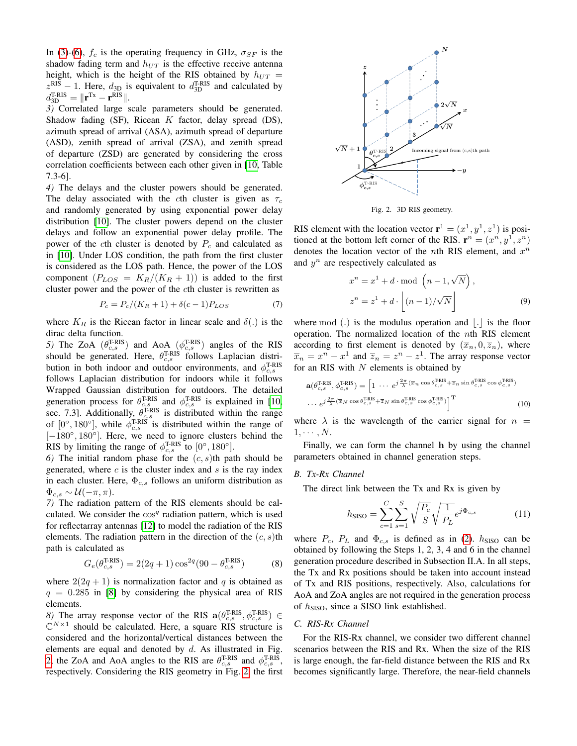In [\(3\)](#page-1-1)-[\(6\)](#page-1-2),  $f_c$  is the operating frequency in GHz,  $\sigma_{SF}$  is the shadow fading term and  $h_{UT}$  is the effective receive antenna height, which is the height of the RIS obtained by  $h_{UT}$  =  $z_{\text{B}}^{\text{RIS}} - 1$ . Here,  $d_{3D}$  is equivalent to  $d_{3D}^{\text{TRIS}}$  and calculated by  $d_{3D}^{\text{T-RIS}} = \|\mathbf{r}^{\text{Tx}} - \mathbf{r}^{\text{RIS}}\|.$ 

*3)* Correlated large scale parameters should be generated. Shadow fading (SF), Ricean K factor, delay spread (DS), azimuth spread of arrival (ASA), azimuth spread of departure (ASD), zenith spread of arrival (ZSA), and zenith spread of departure (ZSD) are generated by considering the cross correlation coefficients between each other given in [\[10,](#page-4-8) Table 7.3-6].

*4)* The delays and the cluster powers should be generated. The delay associated with the cth cluster is given as  $\tau_c$ and randomly generated by using exponential power delay distribution [\[10\]](#page-4-8). The cluster powers depend on the cluster delays and follow an exponential power delay profile. The power of the cth cluster is denoted by  $P_c$  and calculated as in [\[10\]](#page-4-8). Under LOS condition, the path from the first cluster is considered as the LOS path. Hence, the power of the LOS component  $(P_{LOS} = K_R/(K_R + 1))$  is added to the first cluster power and the power of the cth cluster is rewritten as

$$
P_c = P_c/(K_R + 1) + \delta(c - 1)P_{LOS}
$$
 (7)

where  $K_R$  is the Ricean factor in linear scale and  $\delta(.)$  is the dirac delta function.

5) The ZoA  $(\theta_{c,s}^{\text{T-RIS}})$  and AoA  $(\phi_{c,s}^{\text{T-RIS}})$  angles of the RIS should be generated. Here,  $\theta_{c,s}^{\text{T-RIS}}$  follows Laplacian distribution in both indoor and outdoor environments, and  $\phi_{c,s}^{\text{T-RIS}}$ follows Laplacian distribution for indoors while it follows Wrapped Gaussian distribution for outdoors. The detailed generation process for  $\theta_{c,s}^{\text{T-RIS}}$  and  $\phi_{c,s}^{\text{T-RIS}}$  is explained in [\[10,](#page-4-8) sec. 7.3]. Additionally,  $\theta_{c,s}^{\text{T-RIS}}$  is distributed within the range of  $[0^\circ, 180^\circ]$ , while  $\phi_{c,s}^{\text{T-RIS}}$  is distributed within the range of [-180°, 180°]. Here, we need to ignore clusters behind the RIS by limiting the range of  $\phi_{c,s}^{\text{T-RIS}}$  to  $[0^\circ, 180^\circ]$ .

6) The initial random phase for the  $(c, s)$ th path should be generated, where  $c$  is the cluster index and  $s$  is the ray index in each cluster. Here,  $\Phi_{c,s}$  follows an uniform distribution as  $\Phi_{c,s} \sim \mathcal{U}(-\pi,\pi).$ 

*7)* The radiation pattern of the RIS elements should be calculated. We consider the  $\cos^q$  radiation pattern, which is used for reflectarray antennas [\[12\]](#page-4-10) to model the radiation of the RIS elements. The radiation pattern in the direction of the  $(c, s)$ th path is calculated as

$$
G_e(\theta_{c,s}^{\text{T-RIS}}) = 2(2q+1)\cos^{2q}(90 - \theta_{c,s}^{\text{T-RIS}})
$$
 (8)

where  $2(2q + 1)$  is normalization factor and q is obtained as  $q = 0.285$  in [\[8\]](#page-4-11) by considering the physical area of RIS elements.

8) The array response vector of the RIS  $\mathbf{a}(\theta_{c,s}^{\text{T-RIS}}, \phi_{c,s}^{\text{T-RIS}}) \in$  $\mathbb{C}^{N\times 1}$  should be calculated. Here, a square RIS structure is considered and the horizontal/vertical distances between the elements are equal and denoted by  $d$ . As illustrated in Fig. [2,](#page-2-0) the ZoA and AoA angles to the RIS are  $\theta_{c,s}^{\text{T-RIS}}$  and  $\phi_{c,s}^{\text{T-RIS}}$ , respectively. Considering the RIS geometry in Fig. [2,](#page-2-0) the first



<span id="page-2-1"></span><span id="page-2-0"></span>Fig. 2. 3D RIS geometry.

RIS element with the location vector  $\mathbf{r}^1 = (x^1, y^1, z^1)$  is positioned at the bottom left corner of the RIS.  $\mathbf{r}^n = (x^n, y^1, z^n)$ denotes the location vector of the *n*th RIS element, and  $x^n$ and  $y^n$  are respectively calculated as

$$
x^{n} = x^{1} + d \mod (n - 1, \sqrt{N}),
$$
  
\n
$$
z^{n} = z^{1} + d \cdot \left[ (n - 1) / \sqrt{N} \right]
$$
 (9)

where mod  $(.)$  is the modulus operation and  $|.|$  is the floor operation. The normalized location of the nth RIS element according to first element is denoted by  $(\overline{x}_n, 0, \overline{z}_n)$ , where  $\overline{x}_n = x^n - x^1$  and  $\overline{z}_n = z^n - z^1$ . The array response vector for an RIS with  $N$  elements is obtained by

$$
\mathbf{a}(\theta_{c,s}^{\text{T-RIS}}, \phi_{c,s}^{\text{T-RIS}}) = \left[1 \cdots e^{j\frac{2\pi}{\lambda}(\overline{x}_n \cos \theta_{c,s}^{\text{T-RIS}} + \overline{z}_n \sin \theta_{c,s}^{\text{T-RIS}} \cos \phi_{c,s}^{\text{T-RIS}})}\right. \\
\cdots e^{j\frac{2\pi}{\lambda}(\overline{x}_N \cos \theta_{c,s}^{\text{T-RIS}} + \overline{z}_N \sin \theta_{c,s}^{\text{T-RIS}} \cos \phi_{c,s}^{\text{T-RIS}})}\right]^{\text{T}} \tag{10}
$$

where  $\lambda$  is the wavelength of the carrier signal for  $n =$  $1, \cdots, N$ .

Finally, we can form the channel h by using the channel parameters obtained in channel generation steps.

#### *B. Tx-Rx Channel*

The direct link between the Tx and Rx is given by

$$
h_{\text{SISO}} = \sum_{c=1}^{C} \sum_{s=1}^{S} \sqrt{\frac{P_c}{S}} \sqrt{\frac{1}{P_L}} e^{j\Phi_{c,s}}
$$
(11)

where  $P_c$ ,  $P_L$  and  $\Phi_{c,s}$  is defined as in [\(2\)](#page-1-3).  $h_{\text{SISO}}$  can be obtained by following the Steps 1, 2, 3, 4 and 6 in the channel generation procedure described in Subsection II.A. In all steps, the Tx and Rx positions should be taken into account instead of Tx and RIS positions, respectively. Also, calculations for AoA and ZoA angles are not required in the generation process of  $h_{\text{SISO}}$ , since a SISO link established.

### *C. RIS-Rx Channel*

For the RIS-Rx channel, we consider two different channel scenarios between the RIS and Rx. When the size of the RIS is large enough, the far-field distance between the RIS and Rx becomes significantly large. Therefore, the near-field channels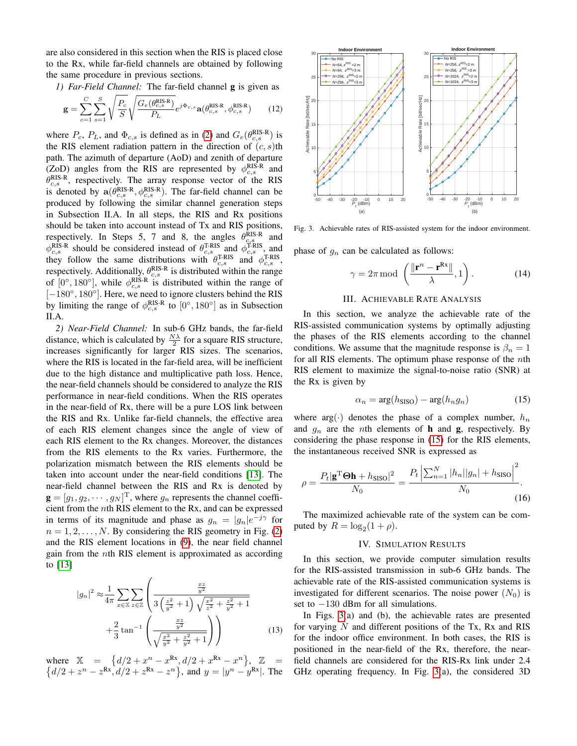are also considered in this section when the RIS is placed close to the Rx, while far-field channels are obtained by following the same procedure in previous sections.

*1) Far-Field Channel:* The far-field channel g is given as

$$
\mathbf{g} = \sum_{c=1}^{C} \sum_{s=1}^{S} \sqrt{\frac{P_c}{S}} \sqrt{\frac{G_e(\theta_{c,s}^{\text{RIS-R}})}{P_L}} e^{j\Phi_{c,s}} \mathbf{a}(\theta_{c,s}^{\text{RIS-R}}, \phi_{c,s}^{\text{RIS-R}})
$$
(12)

where  $P_c$ ,  $P_L$ , and  $\Phi_{c,s}$  is defined as in [\(2\)](#page-1-3) and  $G_e(\theta_{c,s}^{RIS-R})$  is the RIS element radiation pattern in the direction of  $(c, s)$ th path. The azimuth of departure (AoD) and zenith of departure (ZoD) angles from the RIS are represented by  $\phi_{c,s}^{\text{RIS-R}}$  and  $\theta_{c,s}^{\text{RIS-R}}$ , respectively. The array response vector of the RIS is denoted by  $\mathbf{a}(\theta_{c,s}^{\text{RIS-R}}, \phi_{c,s}^{\text{RIS-R}})$ . The far-field channel can be produced by following the similar channel generation steps in Subsection II.A. In all steps, the RIS and Rx positions should be taken into account instead of Tx and RIS positions, respectively. In Steps 5, 7 and 8, the angles  $\theta_{c,s}^{RIS-R}$  and  $\phi_{c,s}^{\text{RIS-R}}$  should be considered instead of  $\theta_{c,s}^{\text{T-RIS}}$  and  $\phi_{c,s}^{\text{T-RIS}}$ , and they follow the same distributions with  $\theta_{c,s}^{\text{T-RIS}}$  and  $\phi_{c,s}^{\text{T-RIS}}$ , respectively. Additionally,  $\theta_{c,s}^{\text{RIS-R}}$  is distributed within the range of [0°, 180°], while  $\phi_{c,s}^{\text{RIS-R}}$  is distributed within the range of [-180°, 180°]. Here, we need to ignore clusters behind the RIS by limiting the range of  $\phi_{c,s}^{\text{RIS-R}}$  to  $[0^\circ, 180^\circ]$  as in Subsection II.A.

*2) Near-Field Channel:* In sub-6 GHz bands, the far-field distance, which is calculated by  $\frac{N\lambda}{2}$  for a square RIS structure, increases significantly for larger RIS sizes. The scenarios, where the RIS is located in the far-field area, will be inefficient due to the high distance and multiplicative path loss. Hence, the near-field channels should be considered to analyze the RIS performance in near-field conditions. When the RIS operates in the near-field of Rx, there will be a pure LOS link between the RIS and Rx. Unlike far-field channels, the effective area of each RIS element changes since the angle of view of each RIS element to the Rx changes. Moreover, the distances from the RIS elements to the Rx varies. Furthermore, the polarization mismatch between the RIS elements should be taken into account under the near-field conditions [\[13\]](#page-4-12). The near-field channel between the RIS and Rx is denoted by  $\mathbf{g} = [g_1, g_2, \cdots, g_N]^\text{T}$ , where  $g_n$  represents the channel coefficient from the nth RIS element to the Rx, and can be expressed in terms of its magnitude and phase as  $g_n = |g_n|e^{-j\gamma}$  for  $n = 1, 2, \ldots, N$ . By considering the RIS geometry in Fig. [\(2\)](#page-2-0) and the RIS element locations in [\(9\)](#page-2-1), the near field channel gain from the nth RIS element is approximated as according to [\[13\]](#page-4-12)

$$
|g_n|^2 \approx \frac{1}{4\pi} \sum_{x \in \mathbb{X}} \sum_{z \in \mathbb{Z}} \left( \frac{\frac{xz}{y^2}}{3\left(\frac{z^2}{y^2} + 1\right) \sqrt{\frac{x^2}{z^2} + \frac{z^2}{y^2} + 1}} + \frac{2}{3} \tan^{-1} \left( \frac{\frac{xz}{y^2}}{\sqrt{\frac{x^2}{y^2} + \frac{z^2}{y^2} + 1}} \right) \right)
$$
(13)

where  $\mathbb{X} = \{d/2 + x^n - x^{\text{Rx}}, d/2 + x^{\text{Rx}} - x^n\}, \mathbb{Z} =$  ${d/2 + z^n - z^{Rx}, d/2 + z^{Rx} - z^n}$ , and  $y = |y^n - y^{Rx}|$ . The



<span id="page-3-1"></span>Fig. 3. Achievable rates of RIS-assisted system for the indoor environment.

phase of  $g_n$  can be calculated as follows:

$$
\gamma = 2\pi \mod \left( \frac{\Vert \mathbf{r}^n - \mathbf{r}^{\mathrm{Rx}} \Vert}{\lambda}, 1 \right). \tag{14}
$$

## III. ACHIEVABLE RATE ANALYSIS

In this section, we analyze the achievable rate of the RIS-assisted communication systems by optimally adjusting the phases of the RIS elements according to the channel conditions. We assume that the magnitude response is  $\beta_n = 1$ for all RIS elements. The optimum phase response of the  $n$ th RIS element to maximize the signal-to-noise ratio (SNR) at the Rx is given by

<span id="page-3-0"></span>
$$
\alpha_n = \arg(h_{\text{SISO}}) - \arg(h_n g_n) \tag{15}
$$

where  $arg(\cdot)$  denotes the phase of a complex number,  $h_n$ and  $g_n$  are the *n*th elements of **h** and **g**, respectively. By considering the phase response in [\(15\)](#page-3-0) for the RIS elements, the instantaneous received SNR is expressed as

$$
\rho = \frac{P_t|\mathbf{g}^{\mathrm{T}}\Theta\mathbf{h} + h_{\mathrm{SISO}}|^2}{N_0} = \frac{P_t\left|\sum_{n=1}^{N} |h_n||g_n| + h_{\mathrm{SISO}}\right|^2}{N_0}.
$$
\n(16)

The maximized achievable rate of the system can be computed by  $R = \log_2(1+\rho)$ .

### IV. SIMULATION RESULTS

In this section, we provide computer simulation results for the RIS-assisted transmission in sub-6 GHz bands. The achievable rate of the RIS-assisted communication systems is investigated for different scenarios. The noise power  $(N_0)$  is set to −130 dBm for all simulations.

In Figs. [3\(](#page-3-1)a) and (b), the achievable rates are presented for varying  $N$  and different positions of the Tx, Rx and RIS for the indoor office environment. In both cases, the RIS is positioned in the near-field of the Rx, therefore, the nearfield channels are considered for the RIS-Rx link under 2.4 GHz operating frequency. In Fig. [3\(](#page-3-1)a), the considered 3D